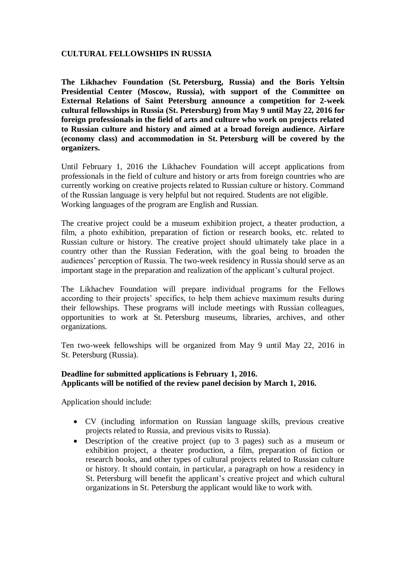# **CULTURAL FELLOWSHIPS IN RUSSIA**

**The Likhachev Foundation (St. Petersburg, Russia) and the Boris Yeltsin Presidential Center (Moscow, Russia), with support of the Committee on External Relations of Saint Petersburg announce a competition for 2-week cultural fellowships in Russia (St. Petersburg) from May 9 until May 22, 2016 for foreign professionals in the field of arts and culture who work on projects related to Russian culture and history and aimed at a broad foreign audience. Airfare (economy class) and accommodation in St. Petersburg will be covered by the organizers.**

Until February 1, 2016 the Likhachev Foundation will accept applications from professionals in the field of culture and history or arts from foreign countries who are currently working on creative projects related to Russian culture or history. Command of the Russian language is very helpful but not required. Students are not eligible. Working languages of the program are English and Russian.

The creative project could be a museum exhibition project, a theater production, a film, a photo exhibition, preparation of fiction or research books, etc. related to Russian culture or history. The creative project should ultimately take place in a country other than the Russian Federation, with the goal being to broaden the audiences' perception of Russia. The two-week residency in Russia should serve as an important stage in the preparation and realization of the applicant's cultural project.

The Likhachev Foundation will prepare individual programs for the Fellows according to their projects' specifics, to help them achieve maximum results during their fellowships. These programs will include meetings with Russian colleagues, opportunities to work at St. Petersburg museums, libraries, archives, and other organizations.

Ten two-week fellowships will be organized from May 9 until May 22, 2016 in St. Petersburg (Russia).

#### **Deadline for submitted applications is February 1, 2016. Applicants will be notified of the review panel decision by March 1, 2016.**

Application should include:

- CV (including information on Russian language skills, previous creative projects related to Russia, and previous visits to Russia).
- Description of the creative project (up to 3 pages) such as a museum or exhibition project, a theater production, a film, preparation of fiction or research books, and other types of cultural projects related to Russian culture or history. It should contain, in particular, a paragraph on how a residency in St. Petersburg will benefit the applicant's creative project and which cultural organizations in St. Petersburg the applicant would like to work with.